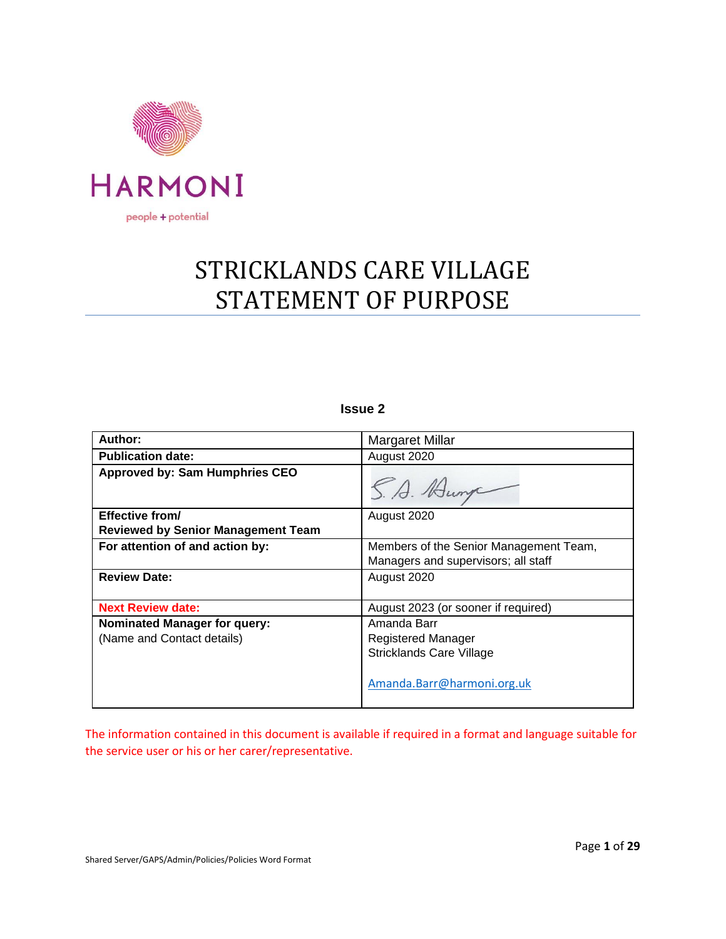

# STRICKLANDS CARE VILLAGE STATEMENT OF PURPOSE

# **Issue 2**

| Author:                                   | <b>Margaret Millar</b>                 |
|-------------------------------------------|----------------------------------------|
| <b>Publication date:</b>                  | August 2020                            |
| <b>Approved by: Sam Humphries CEO</b>     | S. A. Hunge                            |
| Effective from/                           | August 2020                            |
| <b>Reviewed by Senior Management Team</b> |                                        |
| For attention of and action by:           | Members of the Senior Management Team, |
|                                           | Managers and supervisors; all staff    |
| <b>Review Date:</b>                       | August 2020                            |
| <b>Next Review date:</b>                  | August 2023 (or sooner if required)    |
| <b>Nominated Manager for query:</b>       | Amanda Barr                            |
| (Name and Contact details)                | Registered Manager                     |
|                                           | <b>Stricklands Care Village</b>        |
|                                           | Amanda.Barr@harmoni.org.uk             |

The information contained in this document is available if required in a format and language suitable for the service user or his or her carer/representative.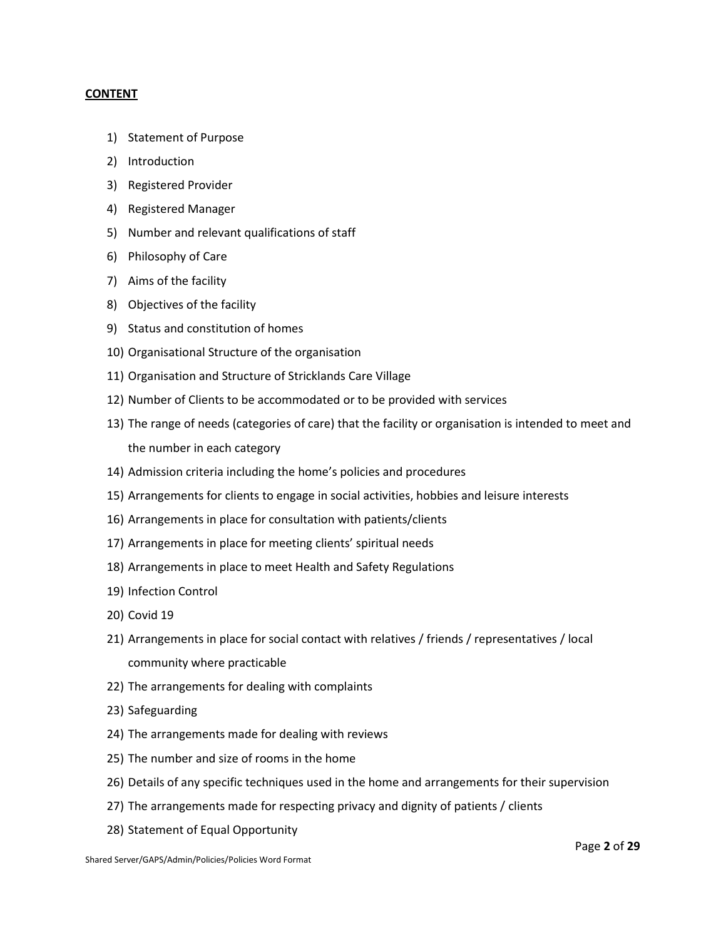#### **CONTENT**

- 1) Statement of Purpose
- 2) Introduction
- 3) Registered Provider
- 4) Registered Manager
- 5) Number and relevant qualifications of staff
- 6) Philosophy of Care
- 7) Aims of the facility
- 8) Objectives of the facility
- 9) Status and constitution of homes
- 10) Organisational Structure of the organisation
- 11) Organisation and Structure of Stricklands Care Village
- 12) Number of Clients to be accommodated or to be provided with services
- 13) The range of needs (categories of care) that the facility or organisation is intended to meet and the number in each category
- 14) Admission criteria including the home's policies and procedures
- 15) Arrangements for clients to engage in social activities, hobbies and leisure interests
- 16) Arrangements in place for consultation with patients/clients
- 17) Arrangements in place for meeting clients' spiritual needs
- 18) Arrangements in place to meet Health and Safety Regulations
- 19) Infection Control
- 20) Covid 19
- 21) Arrangements in place for social contact with relatives / friends / representatives / local community where practicable
- 22) The arrangements for dealing with complaints
- 23) Safeguarding
- 24) The arrangements made for dealing with reviews
- 25) The number and size of rooms in the home
- 26) Details of any specific techniques used in the home and arrangements for their supervision
- 27) The arrangements made for respecting privacy and dignity of patients / clients
- 28) Statement of Equal Opportunity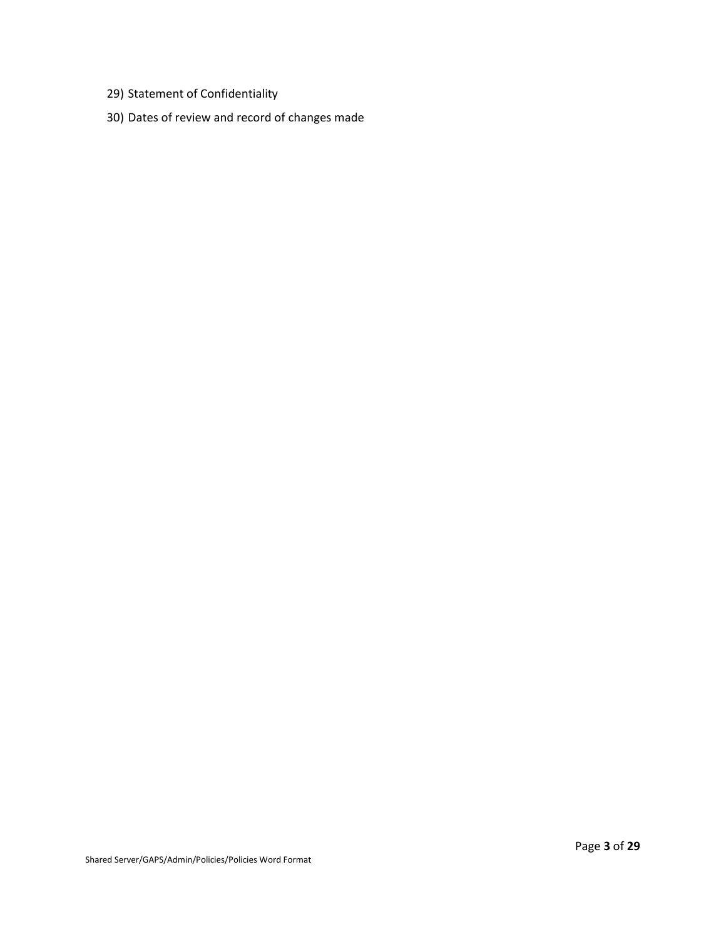- 29) Statement of Confidentiality
- 30) Dates of review and record of changes made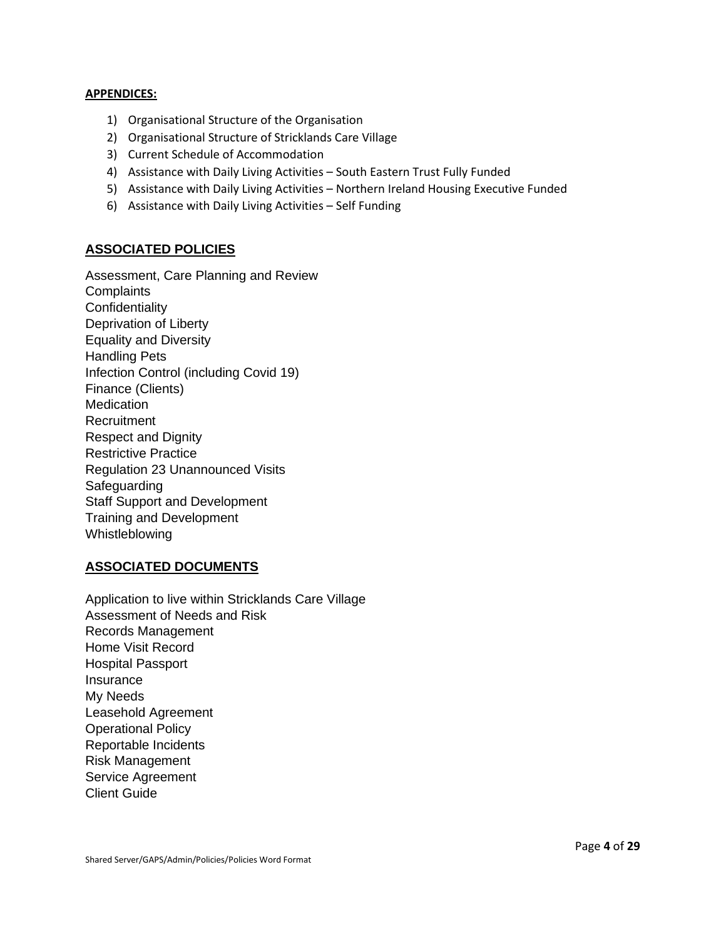#### **APPENDICES:**

- 1) Organisational Structure of the Organisation
- 2) Organisational Structure of Stricklands Care Village
- 3) Current Schedule of Accommodation
- 4) Assistance with Daily Living Activities South Eastern Trust Fully Funded
- 5) Assistance with Daily Living Activities Northern Ireland Housing Executive Funded
- 6) Assistance with Daily Living Activities Self Funding

# **ASSOCIATED POLICIES**

Assessment, Care Planning and Review **Complaints Confidentiality** Deprivation of Liberty Equality and Diversity Handling Pets Infection Control (including Covid 19) Finance (Clients) **Medication** Recruitment Respect and Dignity Restrictive Practice Regulation 23 Unannounced Visits Safeguarding Staff Support and Development Training and Development Whistleblowing

# **ASSOCIATED DOCUMENTS**

Application to live within Stricklands Care Village Assessment of Needs and Risk Records Management Home Visit Record Hospital Passport **Insurance** My Needs Leasehold Agreement Operational Policy Reportable Incidents Risk Management Service Agreement Client Guide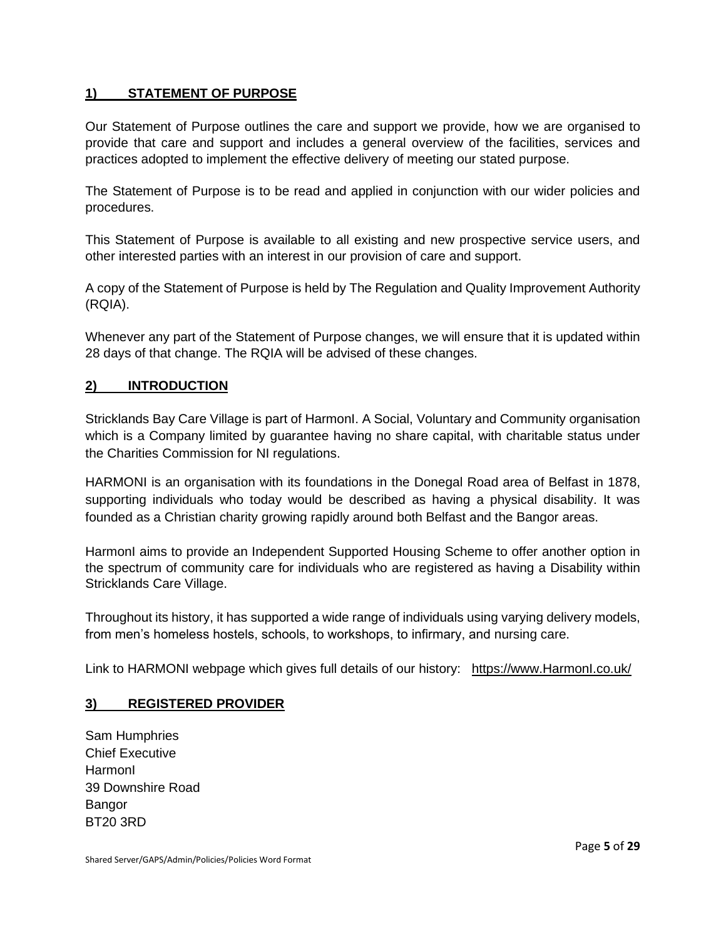# **1) STATEMENT OF PURPOSE**

Our Statement of Purpose outlines the care and support we provide, how we are organised to provide that care and support and includes a general overview of the facilities, services and practices adopted to implement the effective delivery of meeting our stated purpose.

The Statement of Purpose is to be read and applied in conjunction with our wider policies and procedures.

This Statement of Purpose is available to all existing and new prospective service users, and other interested parties with an interest in our provision of care and support.

A copy of the Statement of Purpose is held by The Regulation and Quality Improvement Authority (RQIA).

Whenever any part of the Statement of Purpose changes, we will ensure that it is updated within 28 days of that change. The RQIA will be advised of these changes.

# **2) INTRODUCTION**

Stricklands Bay Care Village is part of HarmonI. A Social, Voluntary and Community organisation which is a Company limited by guarantee having no share capital, with charitable status under the Charities Commission for NI regulations.

HARMONI is an organisation with its foundations in the Donegal Road area of Belfast in 1878, supporting individuals who today would be described as having a physical disability. It was founded as a Christian charity growing rapidly around both Belfast and the Bangor areas.

HarmonI aims to provide an Independent Supported Housing Scheme to offer another option in the spectrum of community care for individuals who are registered as having a Disability within Stricklands Care Village.

Throughout its history, it has supported a wide range of individuals using varying delivery models, from men's homeless hostels, schools, to workshops, to infirmary, and nursing care.

Link to HARMONI webpage which gives full details of our history: [https://www.HarmonI.co.uk/](https://www.niid.co.uk/)

# **3) REGISTERED PROVIDER**

Sam Humphries Chief Executive HarmonI 39 Downshire Road Bangor BT20 3RD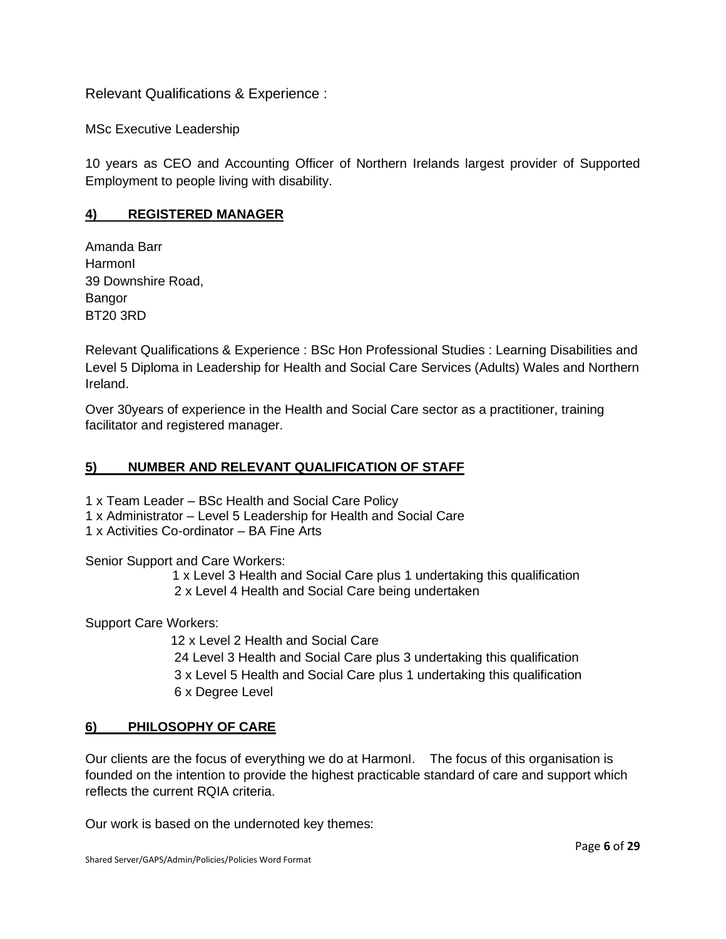Relevant Qualifications & Experience :

MSc Executive Leadership

10 years as CEO and Accounting Officer of Northern Irelands largest provider of Supported Employment to people living with disability.

# **4) REGISTERED MANAGER**

Amanda Barr HarmonI 39 Downshire Road, Bangor BT20 3RD

Relevant Qualifications & Experience : BSc Hon Professional Studies : Learning Disabilities and Level 5 Diploma in Leadership for Health and Social Care Services (Adults) Wales and Northern Ireland.

Over 30years of experience in the Health and Social Care sector as a practitioner, training facilitator and registered manager.

### **5) NUMBER AND RELEVANT QUALIFICATION OF STAFF**

1 x Team Leader – BSc Health and Social Care Policy

- 1 x Administrator Level 5 Leadership for Health and Social Care
- 1 x Activities Co-ordinator BA Fine Arts

Senior Support and Care Workers:

 1 x Level 3 Health and Social Care plus 1 undertaking this qualification 2 x Level 4 Health and Social Care being undertaken

Support Care Workers:

12 x Level 2 Health and Social Care

24 Level 3 Health and Social Care plus 3 undertaking this qualification 3 x Level 5 Health and Social Care plus 1 undertaking this qualification 6 x Degree Level

# **6) PHILOSOPHY OF CARE**

Our clients are the focus of everything we do at HarmonI. The focus of this organisation is founded on the intention to provide the highest practicable standard of care and support which reflects the current RQIA criteria.

Our work is based on the undernoted key themes: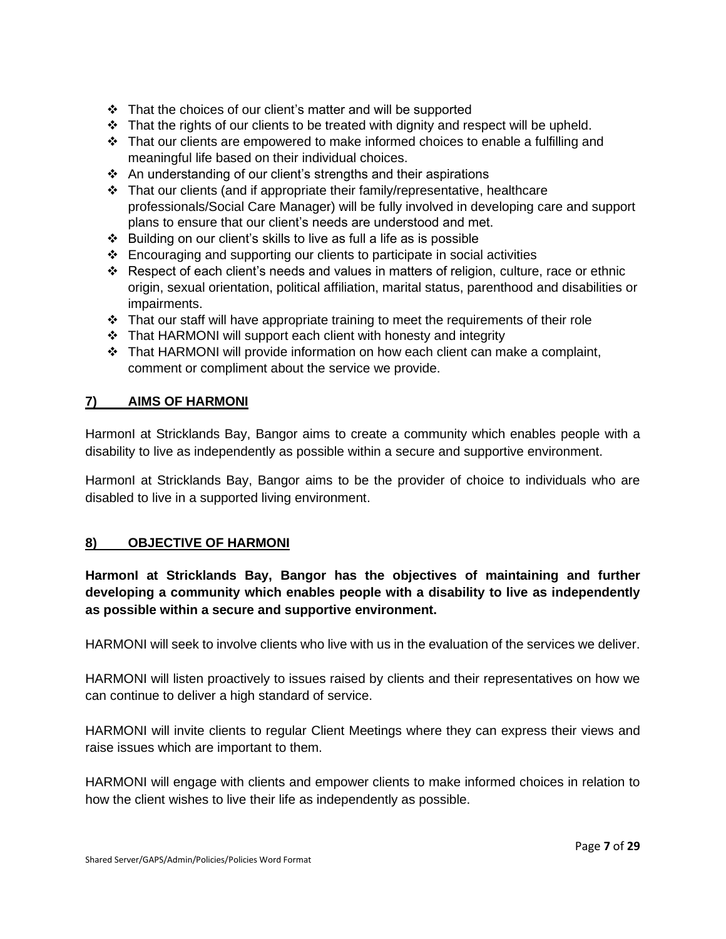- ❖ That the choices of our client's matter and will be supported
- ❖ That the rights of our clients to be treated with dignity and respect will be upheld.
- ❖ That our clients are empowered to make informed choices to enable a fulfilling and meaningful life based on their individual choices.
- ❖ An understanding of our client's strengths and their aspirations
- ❖ That our clients (and if appropriate their family/representative, healthcare professionals/Social Care Manager) will be fully involved in developing care and support plans to ensure that our client's needs are understood and met.
- ❖ Building on our client's skills to live as full a life as is possible
- ❖ Encouraging and supporting our clients to participate in social activities
- ❖ Respect of each client's needs and values in matters of religion, culture, race or ethnic origin, sexual orientation, political affiliation, marital status, parenthood and disabilities or impairments.
- ❖ That our staff will have appropriate training to meet the requirements of their role
- ❖ That HARMONI will support each client with honesty and integrity
- ❖ That HARMONI will provide information on how each client can make a complaint, comment or compliment about the service we provide.

# **7) AIMS OF HARMONI**

HarmonI at Stricklands Bay, Bangor aims to create a community which enables people with a disability to live as independently as possible within a secure and supportive environment.

HarmonI at Stricklands Bay, Bangor aims to be the provider of choice to individuals who are disabled to live in a supported living environment.

# **8) OBJECTIVE OF HARMONI**

**HarmonI at Stricklands Bay, Bangor has the objectives of maintaining and further developing a community which enables people with a disability to live as independently as possible within a secure and supportive environment.**

HARMONI will seek to involve clients who live with us in the evaluation of the services we deliver.

HARMONI will listen proactively to issues raised by clients and their representatives on how we can continue to deliver a high standard of service.

HARMONI will invite clients to regular Client Meetings where they can express their views and raise issues which are important to them.

HARMONI will engage with clients and empower clients to make informed choices in relation to how the client wishes to live their life as independently as possible.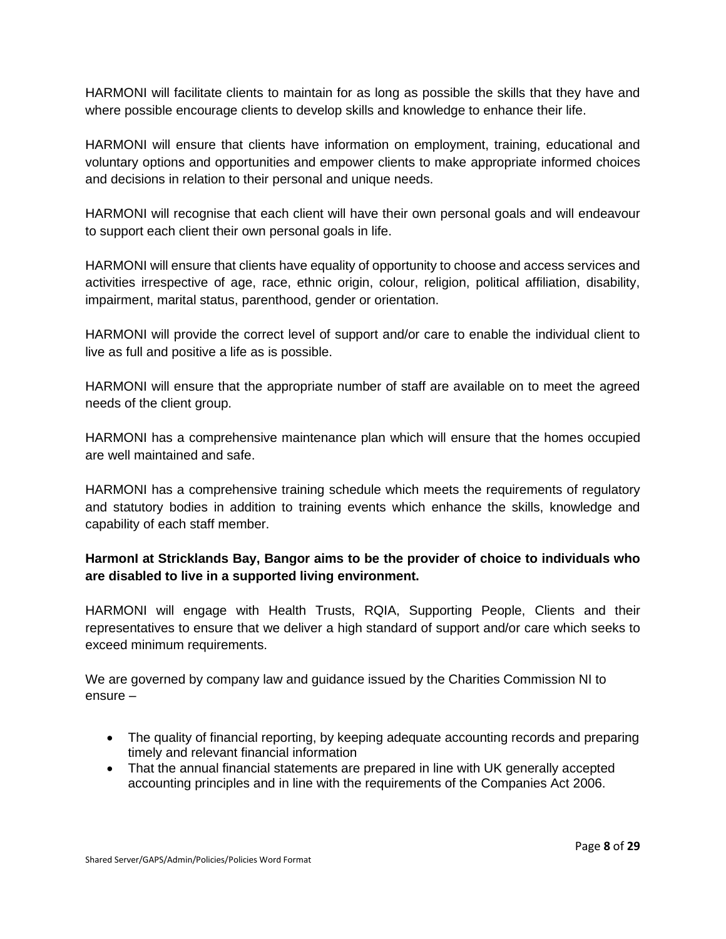HARMONI will facilitate clients to maintain for as long as possible the skills that they have and where possible encourage clients to develop skills and knowledge to enhance their life.

HARMONI will ensure that clients have information on employment, training, educational and voluntary options and opportunities and empower clients to make appropriate informed choices and decisions in relation to their personal and unique needs.

HARMONI will recognise that each client will have their own personal goals and will endeavour to support each client their own personal goals in life.

HARMONI will ensure that clients have equality of opportunity to choose and access services and activities irrespective of age, race, ethnic origin, colour, religion, political affiliation, disability, impairment, marital status, parenthood, gender or orientation.

HARMONI will provide the correct level of support and/or care to enable the individual client to live as full and positive a life as is possible.

HARMONI will ensure that the appropriate number of staff are available on to meet the agreed needs of the client group.

HARMONI has a comprehensive maintenance plan which will ensure that the homes occupied are well maintained and safe.

HARMONI has a comprehensive training schedule which meets the requirements of regulatory and statutory bodies in addition to training events which enhance the skills, knowledge and capability of each staff member.

# **HarmonI at Stricklands Bay, Bangor aims to be the provider of choice to individuals who are disabled to live in a supported living environment.**

HARMONI will engage with Health Trusts, RQIA, Supporting People, Clients and their representatives to ensure that we deliver a high standard of support and/or care which seeks to exceed minimum requirements.

We are governed by company law and guidance issued by the Charities Commission NI to ensure –

- The quality of financial reporting, by keeping adequate accounting records and preparing timely and relevant financial information
- That the annual financial statements are prepared in line with UK generally accepted accounting principles and in line with the requirements of the Companies Act 2006.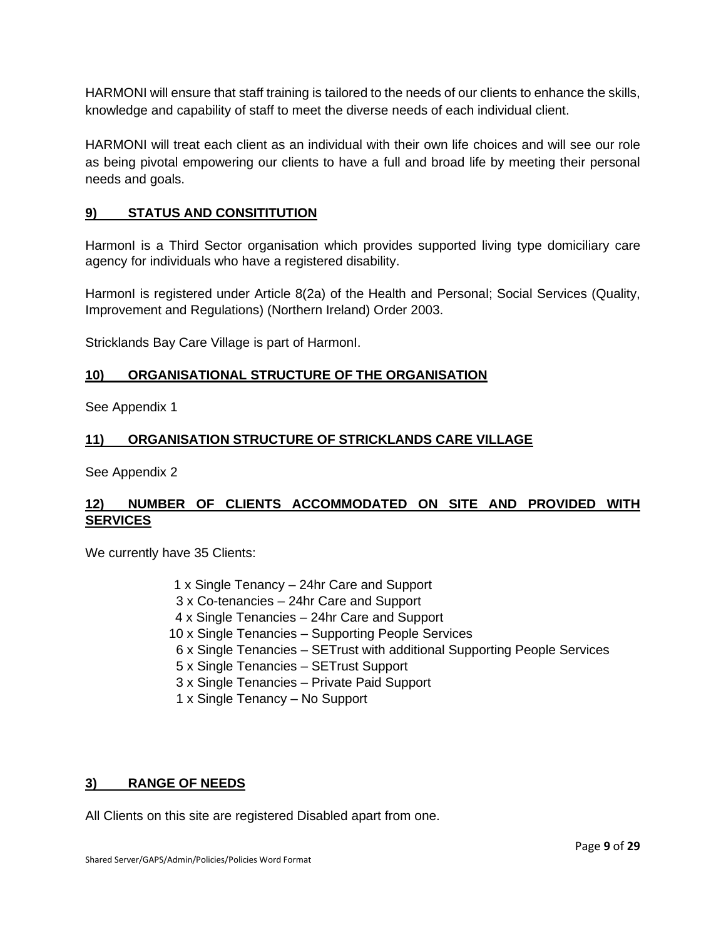HARMONI will ensure that staff training is tailored to the needs of our clients to enhance the skills, knowledge and capability of staff to meet the diverse needs of each individual client.

HARMONI will treat each client as an individual with their own life choices and will see our role as being pivotal empowering our clients to have a full and broad life by meeting their personal needs and goals.

# **9) STATUS AND CONSITITUTION**

HarmonI is a Third Sector organisation which provides supported living type domiciliary care agency for individuals who have a registered disability.

HarmonI is registered under Article 8(2a) of the Health and Personal; Social Services (Quality, Improvement and Regulations) (Northern Ireland) Order 2003.

Stricklands Bay Care Village is part of HarmonI.

# **10) ORGANISATIONAL STRUCTURE OF THE ORGANISATION**

See Appendix 1

# **11) ORGANISATION STRUCTURE OF STRICKLANDS CARE VILLAGE**

See Appendix 2

# **12) NUMBER OF CLIENTS ACCOMMODATED ON SITE AND PROVIDED WITH SERVICES**

We currently have 35 Clients:

- 1 x Single Tenancy 24hr Care and Support
- 3 x Co-tenancies 24hr Care and Support
- 4 x Single Tenancies 24hr Care and Support
- 10 x Single Tenancies Supporting People Services
- 6 x Single Tenancies SETrust with additional Supporting People Services
- 5 x Single Tenancies SETrust Support
- 3 x Single Tenancies Private Paid Support
- 1 x Single Tenancy No Support

#### **3) RANGE OF NEEDS**

All Clients on this site are registered Disabled apart from one.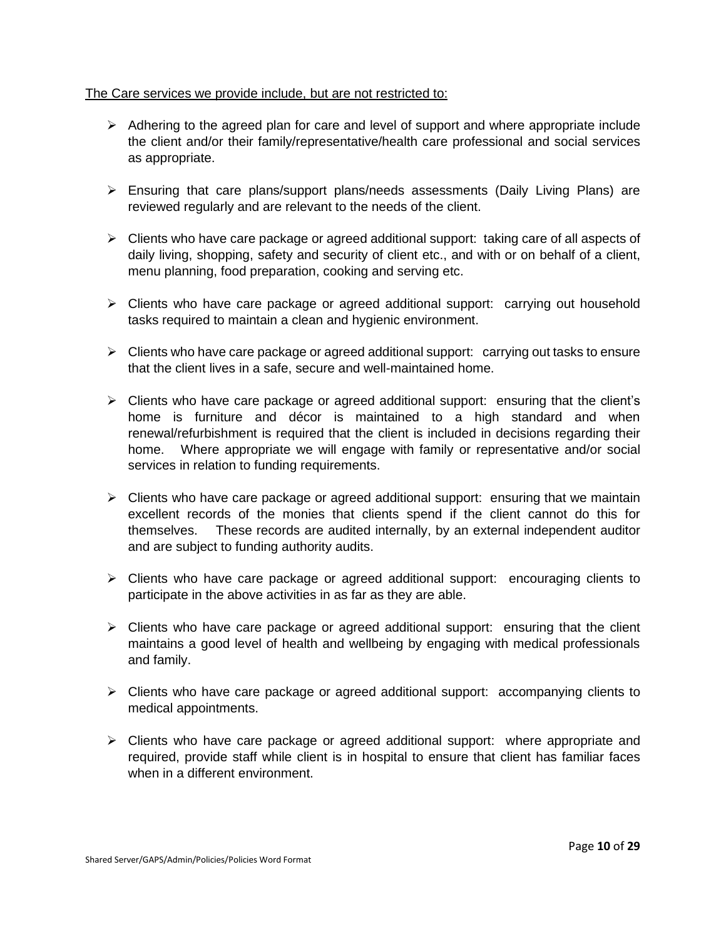#### The Care services we provide include, but are not restricted to:

- $\triangleright$  Adhering to the agreed plan for care and level of support and where appropriate include the client and/or their family/representative/health care professional and social services as appropriate.
- $\triangleright$  Ensuring that care plans/support plans/needs assessments (Daily Living Plans) are reviewed regularly and are relevant to the needs of the client.
- $\triangleright$  Clients who have care package or agreed additional support: taking care of all aspects of daily living, shopping, safety and security of client etc., and with or on behalf of a client, menu planning, food preparation, cooking and serving etc.
- ➢ Clients who have care package or agreed additional support: carrying out household tasks required to maintain a clean and hygienic environment.
- ➢ Clients who have care package or agreed additional support: carrying out tasks to ensure that the client lives in a safe, secure and well-maintained home.
- ➢ Clients who have care package or agreed additional support: ensuring that the client's home is furniture and décor is maintained to a high standard and when renewal/refurbishment is required that the client is included in decisions regarding their home. Where appropriate we will engage with family or representative and/or social services in relation to funding requirements.
- $\triangleright$  Clients who have care package or agreed additional support: ensuring that we maintain excellent records of the monies that clients spend if the client cannot do this for themselves. These records are audited internally, by an external independent auditor and are subject to funding authority audits.
- ➢ Clients who have care package or agreed additional support: encouraging clients to participate in the above activities in as far as they are able.
- ➢ Clients who have care package or agreed additional support: ensuring that the client maintains a good level of health and wellbeing by engaging with medical professionals and family.
- $\triangleright$  Clients who have care package or agreed additional support: accompanying clients to medical appointments.
- ➢ Clients who have care package or agreed additional support: where appropriate and required, provide staff while client is in hospital to ensure that client has familiar faces when in a different environment.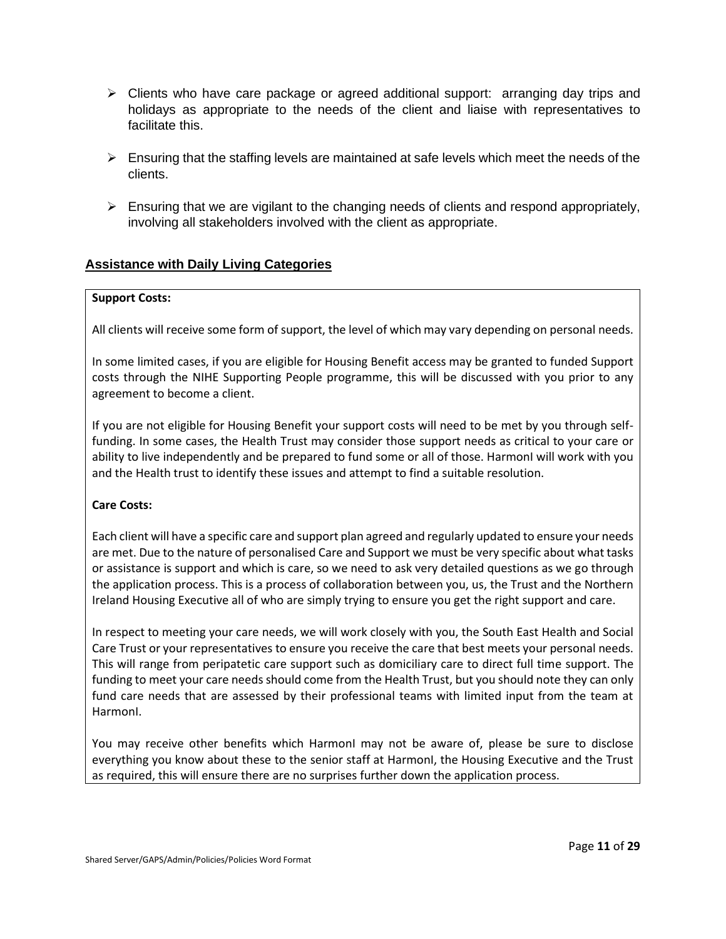- ➢ Clients who have care package or agreed additional support: arranging day trips and holidays as appropriate to the needs of the client and liaise with representatives to facilitate this.
- $\triangleright$  Ensuring that the staffing levels are maintained at safe levels which meet the needs of the clients.
- $\triangleright$  Ensuring that we are vigilant to the changing needs of clients and respond appropriately, involving all stakeholders involved with the client as appropriate.

# **Assistance with Daily Living Categories**

#### **Support Costs:**

All clients will receive some form of support, the level of which may vary depending on personal needs.

In some limited cases, if you are eligible for Housing Benefit access may be granted to funded Support costs through the NIHE Supporting People programme, this will be discussed with you prior to any agreement to become a client.

If you are not eligible for Housing Benefit your support costs will need to be met by you through selffunding. In some cases, the Health Trust may consider those support needs as critical to your care or ability to live independently and be prepared to fund some or all of those. HarmonI will work with you and the Health trust to identify these issues and attempt to find a suitable resolution.

#### **Care Costs:**

Each client will have a specific care and support plan agreed and regularly updated to ensure your needs are met. Due to the nature of personalised Care and Support we must be very specific about what tasks or assistance is support and which is care, so we need to ask very detailed questions as we go through the application process. This is a process of collaboration between you, us, the Trust and the Northern Ireland Housing Executive all of who are simply trying to ensure you get the right support and care.

In respect to meeting your care needs, we will work closely with you, the South East Health and Social Care Trust or your representatives to ensure you receive the care that best meets your personal needs. This will range from peripatetic care support such as domiciliary care to direct full time support. The funding to meet your care needs should come from the Health Trust, but you should note they can only fund care needs that are assessed by their professional teams with limited input from the team at HarmonI.

You may receive other benefits which HarmonI may not be aware of, please be sure to disclose everything you know about these to the senior staff at HarmonI, the Housing Executive and the Trust as required, this will ensure there are no surprises further down the application process.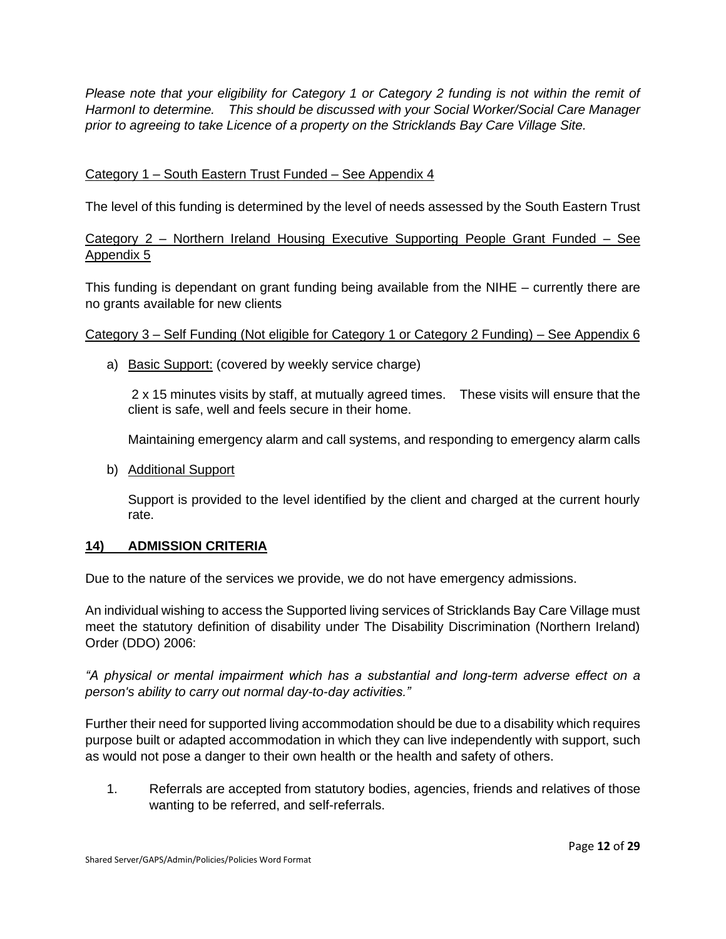*Please note that your eligibility for Category 1 or Category 2 funding is not within the remit of HarmonI to determine. This should be discussed with your Social Worker/Social Care Manager prior to agreeing to take Licence of a property on the Stricklands Bay Care Village Site.*

# Category 1 – South Eastern Trust Funded – See Appendix 4

The level of this funding is determined by the level of needs assessed by the South Eastern Trust

# Category 2 – Northern Ireland Housing Executive Supporting People Grant Funded – See Appendix 5

This funding is dependant on grant funding being available from the NIHE – currently there are no grants available for new clients

#### Category 3 – Self Funding (Not eligible for Category 1 or Category 2 Funding) – See Appendix 6

a) Basic Support: (covered by weekly service charge)

2 x 15 minutes visits by staff, at mutually agreed times. These visits will ensure that the client is safe, well and feels secure in their home.

Maintaining emergency alarm and call systems, and responding to emergency alarm calls

b) Additional Support

Support is provided to the level identified by the client and charged at the current hourly rate.

#### **14) ADMISSION CRITERIA**

Due to the nature of the services we provide, we do not have emergency admissions.

An individual wishing to access the Supported living services of Stricklands Bay Care Village must meet the statutory definition of disability under The Disability Discrimination (Northern Ireland) Order (DDO) 2006:

*"A physical or mental impairment which has a substantial and long-term adverse effect on a person's ability to carry out normal day-to-day activities."*

Further their need for supported living accommodation should be due to a disability which requires purpose built or adapted accommodation in which they can live independently with support, such as would not pose a danger to their own health or the health and safety of others.

1. Referrals are accepted from statutory bodies, agencies, friends and relatives of those wanting to be referred, and self-referrals.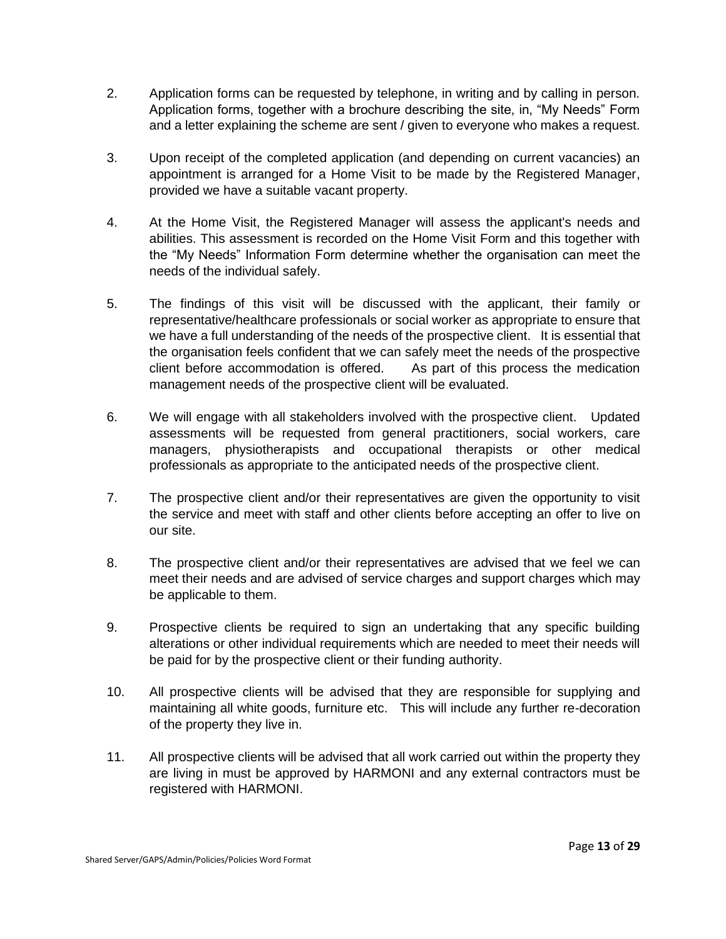- 2. Application forms can be requested by telephone, in writing and by calling in person. Application forms, together with a brochure describing the site, in, "My Needs" Form and a letter explaining the scheme are sent / given to everyone who makes a request.
- 3. Upon receipt of the completed application (and depending on current vacancies) an appointment is arranged for a Home Visit to be made by the Registered Manager, provided we have a suitable vacant property.
- 4. At the Home Visit, the Registered Manager will assess the applicant's needs and abilities. This assessment is recorded on the Home Visit Form and this together with the "My Needs" Information Form determine whether the organisation can meet the needs of the individual safely.
- 5. The findings of this visit will be discussed with the applicant, their family or representative/healthcare professionals or social worker as appropriate to ensure that we have a full understanding of the needs of the prospective client. It is essential that the organisation feels confident that we can safely meet the needs of the prospective client before accommodation is offered. As part of this process the medication management needs of the prospective client will be evaluated.
- 6. We will engage with all stakeholders involved with the prospective client. Updated assessments will be requested from general practitioners, social workers, care managers, physiotherapists and occupational therapists or other medical professionals as appropriate to the anticipated needs of the prospective client.
- 7. The prospective client and/or their representatives are given the opportunity to visit the service and meet with staff and other clients before accepting an offer to live on our site.
- 8. The prospective client and/or their representatives are advised that we feel we can meet their needs and are advised of service charges and support charges which may be applicable to them.
- 9. Prospective clients be required to sign an undertaking that any specific building alterations or other individual requirements which are needed to meet their needs will be paid for by the prospective client or their funding authority.
- 10. All prospective clients will be advised that they are responsible for supplying and maintaining all white goods, furniture etc. This will include any further re-decoration of the property they live in.
- 11. All prospective clients will be advised that all work carried out within the property they are living in must be approved by HARMONI and any external contractors must be registered with HARMONI.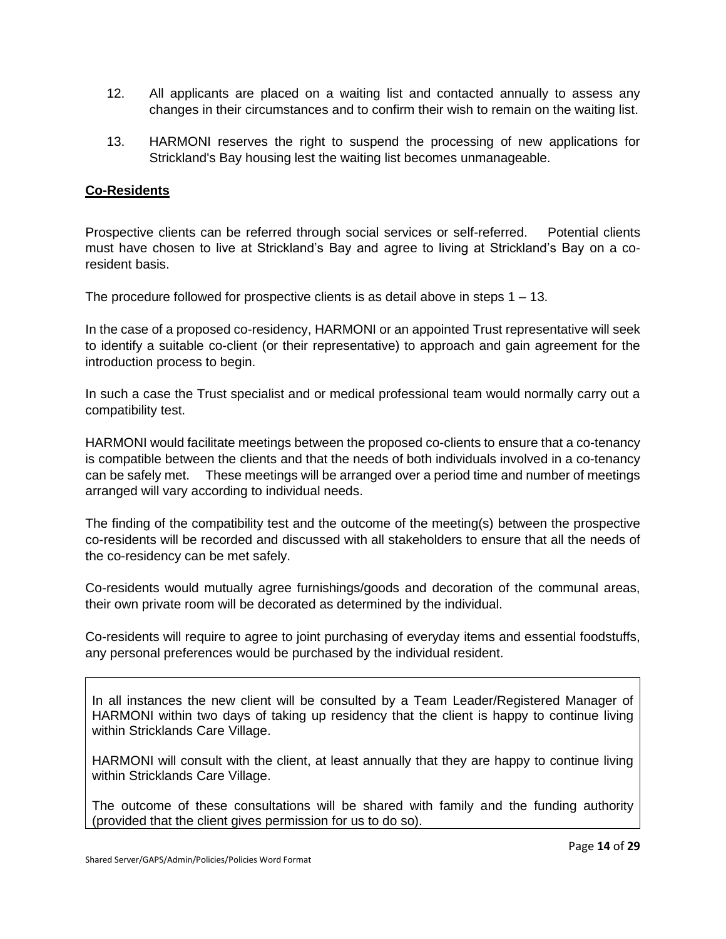- 12. All applicants are placed on a waiting list and contacted annually to assess any changes in their circumstances and to confirm their wish to remain on the waiting list.
- 13. HARMONI reserves the right to suspend the processing of new applications for Strickland's Bay housing lest the waiting list becomes unmanageable.

# **Co-Residents**

Prospective clients can be referred through social services or self-referred. Potential clients must have chosen to live at Strickland's Bay and agree to living at Strickland's Bay on a coresident basis.

The procedure followed for prospective clients is as detail above in steps  $1 - 13$ .

In the case of a proposed co-residency, HARMONI or an appointed Trust representative will seek to identify a suitable co-client (or their representative) to approach and gain agreement for the introduction process to begin.

In such a case the Trust specialist and or medical professional team would normally carry out a compatibility test.

HARMONI would facilitate meetings between the proposed co-clients to ensure that a co-tenancy is compatible between the clients and that the needs of both individuals involved in a co-tenancy can be safely met. These meetings will be arranged over a period time and number of meetings arranged will vary according to individual needs.

The finding of the compatibility test and the outcome of the meeting(s) between the prospective co-residents will be recorded and discussed with all stakeholders to ensure that all the needs of the co-residency can be met safely.

Co-residents would mutually agree furnishings/goods and decoration of the communal areas, their own private room will be decorated as determined by the individual.

Co-residents will require to agree to joint purchasing of everyday items and essential foodstuffs, any personal preferences would be purchased by the individual resident.

In all instances the new client will be consulted by a Team Leader/Registered Manager of HARMONI within two days of taking up residency that the client is happy to continue living within Stricklands Care Village.

HARMONI will consult with the client, at least annually that they are happy to continue living within Stricklands Care Village.

The outcome of these consultations will be shared with family and the funding authority (provided that the client gives permission for us to do so).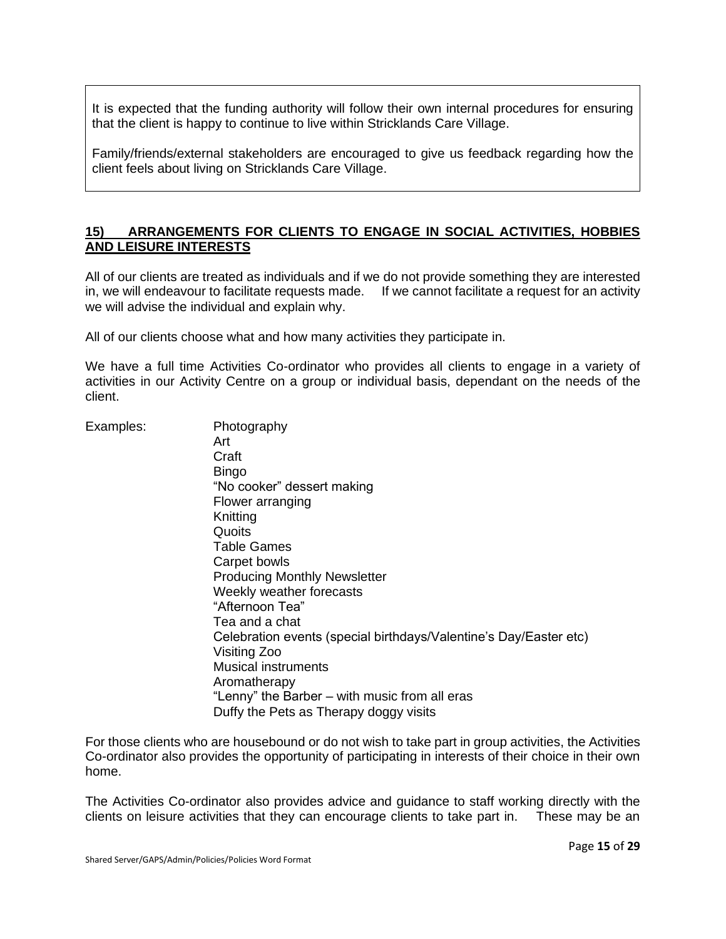It is expected that the funding authority will follow their own internal procedures for ensuring that the client is happy to continue to live within Stricklands Care Village.

Family/friends/external stakeholders are encouraged to give us feedback regarding how the client feels about living on Stricklands Care Village.

#### **15) ARRANGEMENTS FOR CLIENTS TO ENGAGE IN SOCIAL ACTIVITIES, HOBBIES AND LEISURE INTERESTS**

All of our clients are treated as individuals and if we do not provide something they are interested in, we will endeavour to facilitate requests made. If we cannot facilitate a request for an activity we will advise the individual and explain why.

All of our clients choose what and how many activities they participate in.

We have a full time Activities Co-ordinator who provides all clients to engage in a variety of activities in our Activity Centre on a group or individual basis, dependant on the needs of the client.

Examples: Photography

Art **Craft Bingo** "No cooker" dessert making Flower arranging Knitting **Quoits** Table Games Carpet bowls Producing Monthly Newsletter Weekly weather forecasts "Afternoon Tea" Tea and a chat Celebration events (special birthdays/Valentine's Day/Easter etc) Visiting Zoo Musical instruments Aromatherapy "Lenny" the Barber – with music from all eras Duffy the Pets as Therapy doggy visits

For those clients who are housebound or do not wish to take part in group activities, the Activities Co-ordinator also provides the opportunity of participating in interests of their choice in their own home.

The Activities Co-ordinator also provides advice and guidance to staff working directly with the clients on leisure activities that they can encourage clients to take part in. These may be an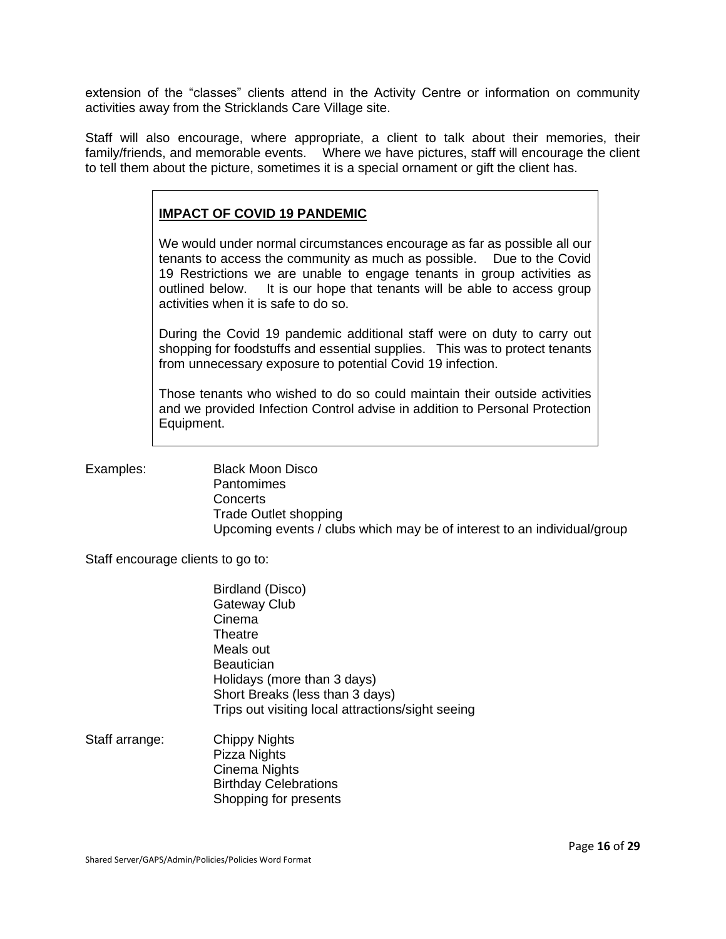extension of the "classes" clients attend in the Activity Centre or information on community activities away from the Stricklands Care Village site.

Staff will also encourage, where appropriate, a client to talk about their memories, their family/friends, and memorable events. Where we have pictures, staff will encourage the client to tell them about the picture, sometimes it is a special ornament or gift the client has.

# **IMPACT OF COVID 19 PANDEMIC**

We would under normal circumstances encourage as far as possible all our tenants to access the community as much as possible. Due to the Covid 19 Restrictions we are unable to engage tenants in group activities as outlined below. It is our hope that tenants will be able to access group activities when it is safe to do so.

During the Covid 19 pandemic additional staff were on duty to carry out shopping for foodstuffs and essential supplies. This was to protect tenants from unnecessary exposure to potential Covid 19 infection.

Those tenants who wished to do so could maintain their outside activities and we provided Infection Control advise in addition to Personal Protection Equipment.

Examples: Black Moon Disco Pantomimes **Concerts** Trade Outlet shopping Upcoming events / clubs which may be of interest to an individual/group

Staff encourage clients to go to:

Birdland (Disco) Gateway Club Cinema **Theatre** Meals out **Beautician** Holidays (more than 3 days) Short Breaks (less than 3 days) Trips out visiting local attractions/sight seeing

Staff arrange: Chippy Nights Pizza Nights Cinema Nights Birthday Celebrations Shopping for presents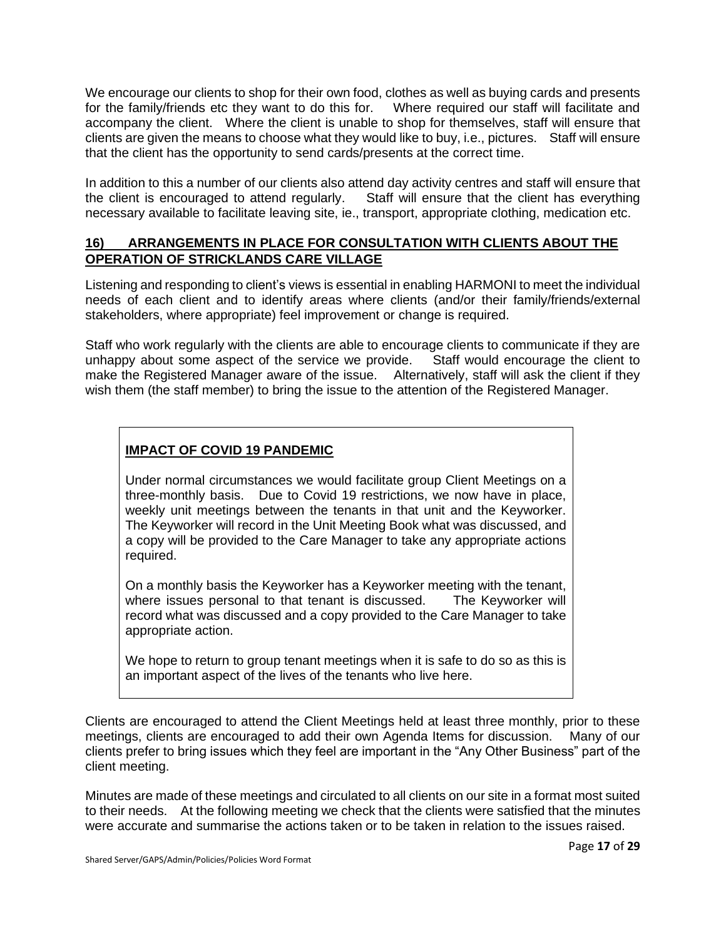We encourage our clients to shop for their own food, clothes as well as buying cards and presents for the family/friends etc they want to do this for. Where required our staff will facilitate and accompany the client. Where the client is unable to shop for themselves, staff will ensure that clients are given the means to choose what they would like to buy, i.e., pictures. Staff will ensure that the client has the opportunity to send cards/presents at the correct time.

In addition to this a number of our clients also attend day activity centres and staff will ensure that the client is encouraged to attend regularly. Staff will ensure that the client has everything necessary available to facilitate leaving site, ie., transport, appropriate clothing, medication etc.

# **16) ARRANGEMENTS IN PLACE FOR CONSULTATION WITH CLIENTS ABOUT THE OPERATION OF STRICKLANDS CARE VILLAGE**

Listening and responding to client's views is essential in enabling HARMONI to meet the individual needs of each client and to identify areas where clients (and/or their family/friends/external stakeholders, where appropriate) feel improvement or change is required.

Staff who work regularly with the clients are able to encourage clients to communicate if they are unhappy about some aspect of the service we provide. Staff would encourage the client to make the Registered Manager aware of the issue. Alternatively, staff will ask the client if they wish them (the staff member) to bring the issue to the attention of the Registered Manager.

# **IMPACT OF COVID 19 PANDEMIC**

Under normal circumstances we would facilitate group Client Meetings on a three-monthly basis. Due to Covid 19 restrictions, we now have in place, weekly unit meetings between the tenants in that unit and the Keyworker. The Keyworker will record in the Unit Meeting Book what was discussed, and a copy will be provided to the Care Manager to take any appropriate actions required.

On a monthly basis the Keyworker has a Keyworker meeting with the tenant, where issues personal to that tenant is discussed. The Keyworker will record what was discussed and a copy provided to the Care Manager to take appropriate action.

We hope to return to group tenant meetings when it is safe to do so as this is an important aspect of the lives of the tenants who live here.

Clients are encouraged to attend the Client Meetings held at least three monthly, prior to these meetings, clients are encouraged to add their own Agenda Items for discussion. Many of our clients prefer to bring issues which they feel are important in the "Any Other Business" part of the client meeting.

Minutes are made of these meetings and circulated to all clients on our site in a format most suited to their needs. At the following meeting we check that the clients were satisfied that the minutes were accurate and summarise the actions taken or to be taken in relation to the issues raised.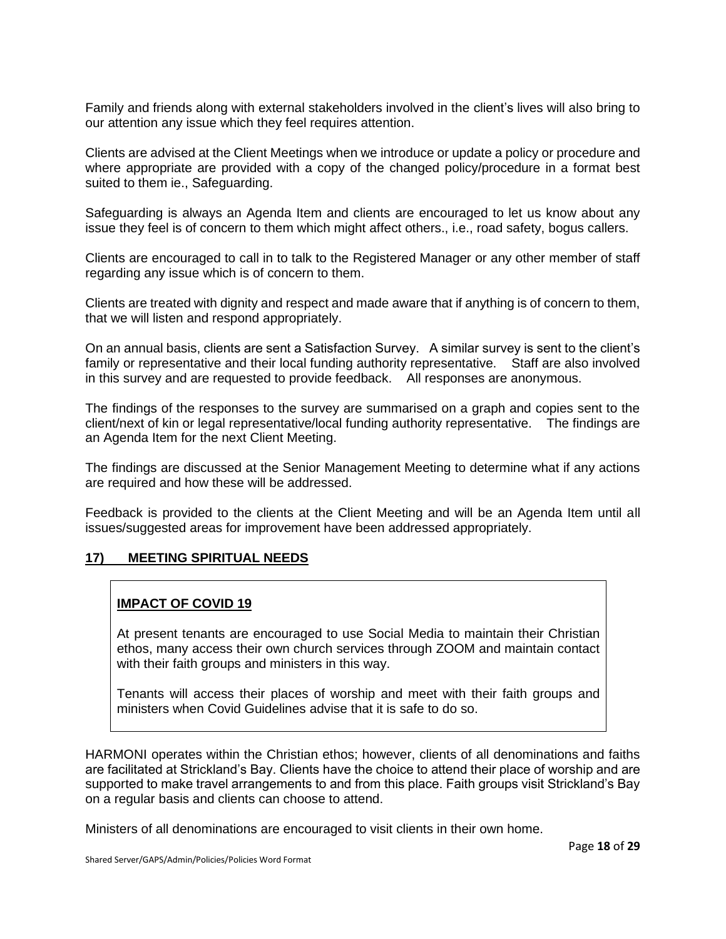Family and friends along with external stakeholders involved in the client's lives will also bring to our attention any issue which they feel requires attention.

Clients are advised at the Client Meetings when we introduce or update a policy or procedure and where appropriate are provided with a copy of the changed policy/procedure in a format best suited to them ie., Safeguarding.

Safeguarding is always an Agenda Item and clients are encouraged to let us know about any issue they feel is of concern to them which might affect others., i.e., road safety, bogus callers.

Clients are encouraged to call in to talk to the Registered Manager or any other member of staff regarding any issue which is of concern to them.

Clients are treated with dignity and respect and made aware that if anything is of concern to them, that we will listen and respond appropriately.

On an annual basis, clients are sent a Satisfaction Survey. A similar survey is sent to the client's family or representative and their local funding authority representative. Staff are also involved in this survey and are requested to provide feedback. All responses are anonymous.

The findings of the responses to the survey are summarised on a graph and copies sent to the client/next of kin or legal representative/local funding authority representative. The findings are an Agenda Item for the next Client Meeting.

The findings are discussed at the Senior Management Meeting to determine what if any actions are required and how these will be addressed.

Feedback is provided to the clients at the Client Meeting and will be an Agenda Item until all issues/suggested areas for improvement have been addressed appropriately.

# **17) MEETING SPIRITUAL NEEDS**

# **IMPACT OF COVID 19**

At present tenants are encouraged to use Social Media to maintain their Christian ethos, many access their own church services through ZOOM and maintain contact with their faith groups and ministers in this way.

Tenants will access their places of worship and meet with their faith groups and ministers when Covid Guidelines advise that it is safe to do so.

HARMONI operates within the Christian ethos; however, clients of all denominations and faiths are facilitated at Strickland's Bay. Clients have the choice to attend their place of worship and are supported to make travel arrangements to and from this place. Faith groups visit Strickland's Bay on a regular basis and clients can choose to attend.

Ministers of all denominations are encouraged to visit clients in their own home.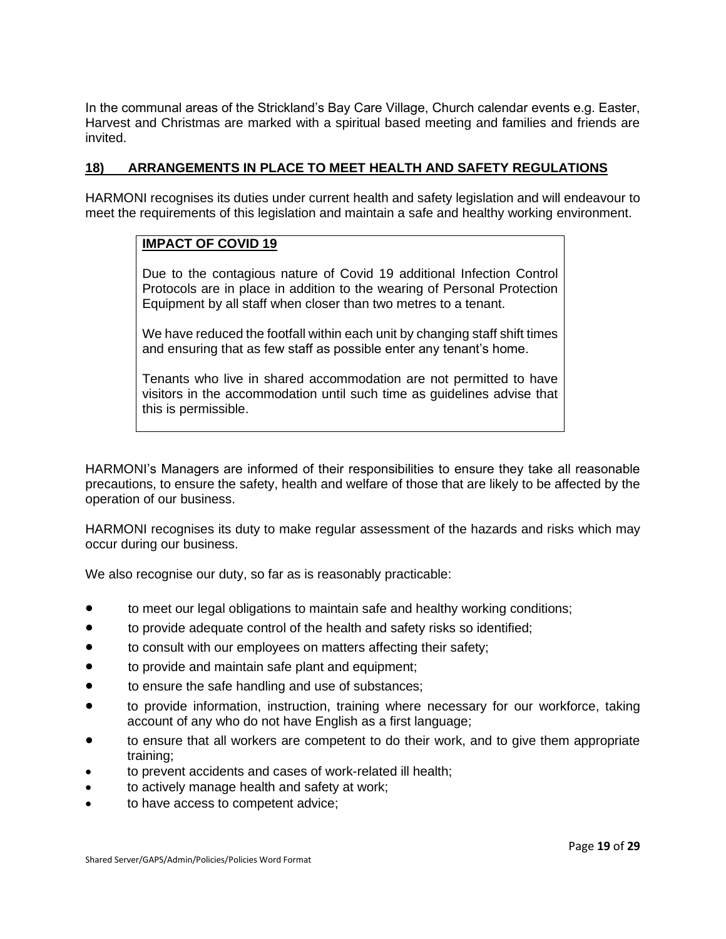In the communal areas of the Strickland's Bay Care Village, Church calendar events e.g. Easter, Harvest and Christmas are marked with a spiritual based meeting and families and friends are invited.

# **18) ARRANGEMENTS IN PLACE TO MEET HEALTH AND SAFETY REGULATIONS**

HARMONI recognises its duties under current health and safety legislation and will endeavour to meet the requirements of this legislation and maintain a safe and healthy working environment.

# **IMPACT OF COVID 19**

Due to the contagious nature of Covid 19 additional Infection Control Protocols are in place in addition to the wearing of Personal Protection Equipment by all staff when closer than two metres to a tenant.

We have reduced the footfall within each unit by changing staff shift times and ensuring that as few staff as possible enter any tenant's home.

Tenants who live in shared accommodation are not permitted to have visitors in the accommodation until such time as guidelines advise that this is permissible.

HARMONI's Managers are informed of their responsibilities to ensure they take all reasonable precautions, to ensure the safety, health and welfare of those that are likely to be affected by the operation of our business.

HARMONI recognises its duty to make regular assessment of the hazards and risks which may occur during our business.

We also recognise our duty, so far as is reasonably practicable:

- to meet our legal obligations to maintain safe and healthy working conditions;
- to provide adequate control of the health and safety risks so identified;
- to consult with our employees on matters affecting their safety;
- to provide and maintain safe plant and equipment;
- to ensure the safe handling and use of substances;
- to provide information, instruction, training where necessary for our workforce, taking account of any who do not have English as a first language;
- to ensure that all workers are competent to do their work, and to give them appropriate training;
- to prevent accidents and cases of work-related ill health;
- to actively manage health and safety at work;
- to have access to competent advice;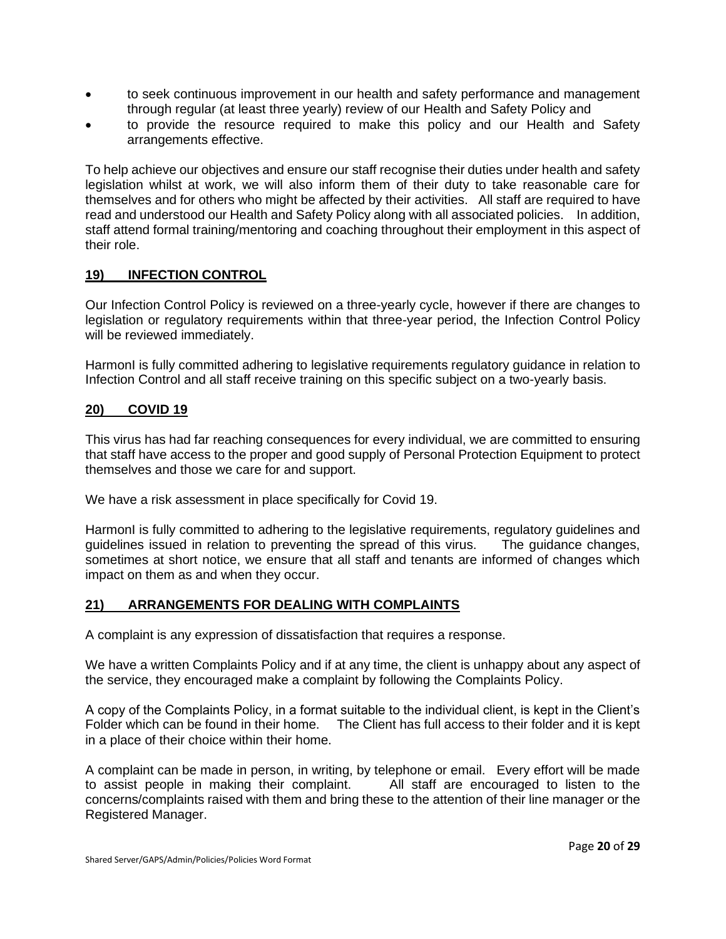- to seek continuous improvement in our health and safety performance and management through regular (at least three yearly) review of our Health and Safety Policy and
- to provide the resource required to make this policy and our Health and Safety arrangements effective.

To help achieve our objectives and ensure our staff recognise their duties under health and safety legislation whilst at work, we will also inform them of their duty to take reasonable care for themselves and for others who might be affected by their activities. All staff are required to have read and understood our Health and Safety Policy along with all associated policies. In addition, staff attend formal training/mentoring and coaching throughout their employment in this aspect of their role.

# **19) INFECTION CONTROL**

Our Infection Control Policy is reviewed on a three-yearly cycle, however if there are changes to legislation or regulatory requirements within that three-year period, the Infection Control Policy will be reviewed immediately.

HarmonI is fully committed adhering to legislative requirements regulatory guidance in relation to Infection Control and all staff receive training on this specific subject on a two-yearly basis.

#### **20) COVID 19**

This virus has had far reaching consequences for every individual, we are committed to ensuring that staff have access to the proper and good supply of Personal Protection Equipment to protect themselves and those we care for and support.

We have a risk assessment in place specifically for Covid 19.

HarmonI is fully committed to adhering to the legislative requirements, regulatory guidelines and guidelines issued in relation to preventing the spread of this virus. The guidance changes, sometimes at short notice, we ensure that all staff and tenants are informed of changes which impact on them as and when they occur.

# **21) ARRANGEMENTS FOR DEALING WITH COMPLAINTS**

A complaint is any expression of dissatisfaction that requires a response.

We have a written Complaints Policy and if at any time, the client is unhappy about any aspect of the service, they encouraged make a complaint by following the Complaints Policy.

A copy of the Complaints Policy, in a format suitable to the individual client, is kept in the Client's Folder which can be found in their home. The Client has full access to their folder and it is kept in a place of their choice within their home.

A complaint can be made in person, in writing, by telephone or email. Every effort will be made to assist people in making their complaint. All staff are encouraged to listen to the concerns/complaints raised with them and bring these to the attention of their line manager or the Registered Manager.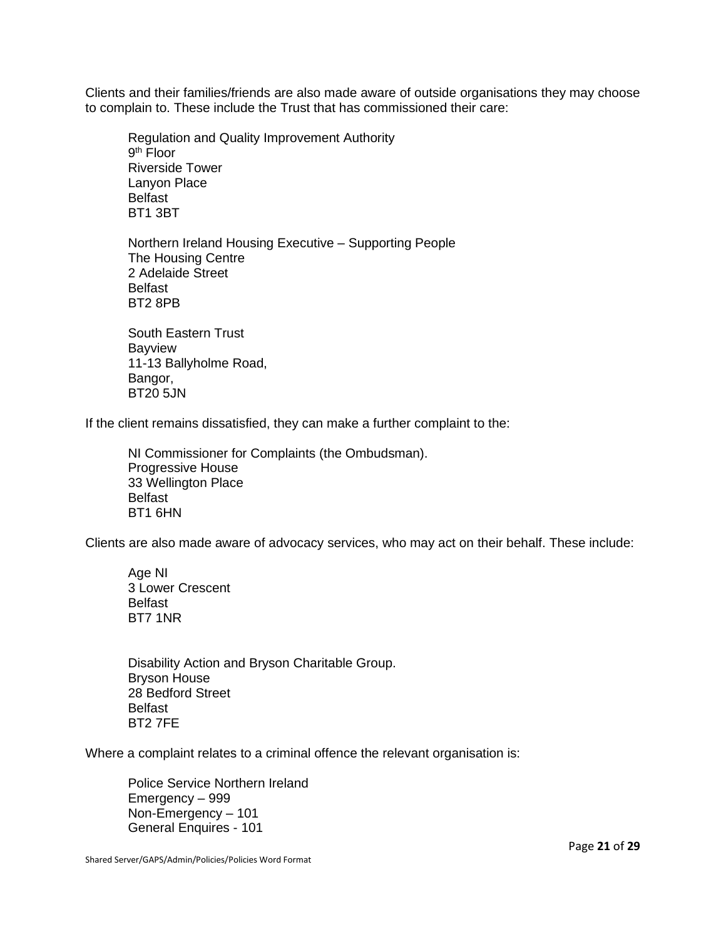Clients and their families/friends are also made aware of outside organisations they may choose to complain to. These include the Trust that has commissioned their care:

Regulation and Quality Improvement Authority 9<sup>th</sup> Floor Riverside Tower Lanyon Place Belfast BT1 3BT

Northern Ireland Housing Executive – Supporting People The Housing Centre 2 Adelaide Street Belfast BT2 8PB

South Eastern Trust Bayview 11-13 Ballyholme Road, Bangor, BT20 5JN

If the client remains dissatisfied, they can make a further complaint to the:

NI Commissioner for Complaints (the Ombudsman). Progressive House 33 Wellington Place Belfast BT1 6HN

Clients are also made aware of advocacy services, who may act on their behalf. These include:

Age NI 3 Lower Crescent Belfast BT7 1NR

Disability Action and Bryson Charitable Group. Bryson House 28 Bedford Street Belfast BT2 7FE

Where a complaint relates to a criminal offence the relevant organisation is:

Police Service Northern Ireland Emergency – 999 Non-Emergency – 101 General Enquires - 101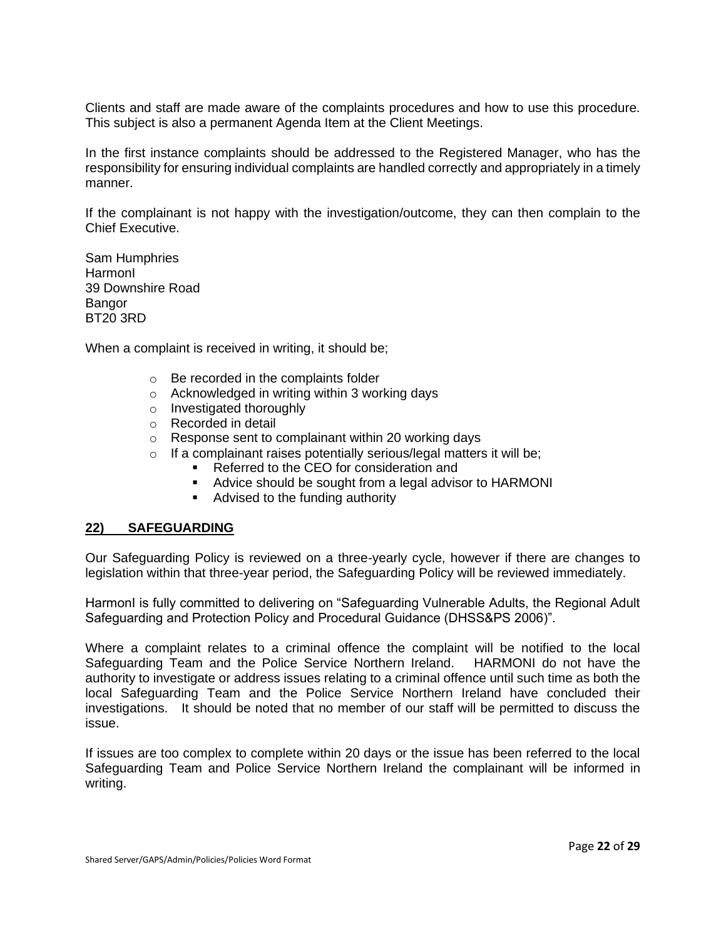Clients and staff are made aware of the complaints procedures and how to use this procedure. This subject is also a permanent Agenda Item at the Client Meetings.

In the first instance complaints should be addressed to the Registered Manager, who has the responsibility for ensuring individual complaints are handled correctly and appropriately in a timely manner.

If the complainant is not happy with the investigation/outcome, they can then complain to the Chief Executive.

Sam Humphries HarmonI 39 Downshire Road Bangor BT20 3RD

When a complaint is received in writing, it should be;

- o Be recorded in the complaints folder
- o Acknowledged in writing within 3 working days
- o Investigated thoroughly
- o Recorded in detail
- o Response sent to complainant within 20 working days
- $\circ$  If a complainant raises potentially serious/legal matters it will be;
	- Referred to the CEO for consideration and
	- Advice should be sought from a legal advisor to HARMONI
	- Advised to the funding authority

#### **22) SAFEGUARDING**

Our Safeguarding Policy is reviewed on a three-yearly cycle, however if there are changes to legislation within that three-year period, the Safeguarding Policy will be reviewed immediately.

HarmonI is fully committed to delivering on "Safeguarding Vulnerable Adults, the Regional Adult Safeguarding and Protection Policy and Procedural Guidance (DHSS&PS 2006)".

Where a complaint relates to a criminal offence the complaint will be notified to the local Safeguarding Team and the Police Service Northern Ireland. HARMONI do not have the authority to investigate or address issues relating to a criminal offence until such time as both the local Safeguarding Team and the Police Service Northern Ireland have concluded their investigations. It should be noted that no member of our staff will be permitted to discuss the issue.

If issues are too complex to complete within 20 days or the issue has been referred to the local Safeguarding Team and Police Service Northern Ireland the complainant will be informed in writing.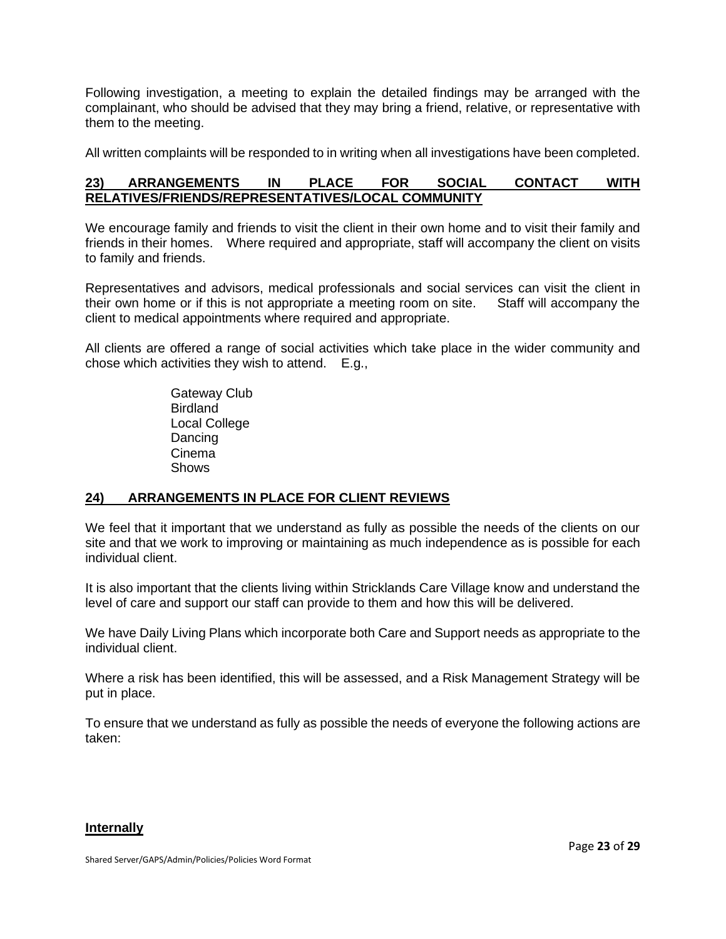Following investigation, a meeting to explain the detailed findings may be arranged with the complainant, who should be advised that they may bring a friend, relative, or representative with them to the meeting.

All written complaints will be responded to in writing when all investigations have been completed.

# **23) ARRANGEMENTS IN PLACE FOR SOCIAL CONTACT WITH RELATIVES/FRIENDS/REPRESENTATIVES/LOCAL COMMUNITY**

We encourage family and friends to visit the client in their own home and to visit their family and friends in their homes. Where required and appropriate, staff will accompany the client on visits to family and friends.

Representatives and advisors, medical professionals and social services can visit the client in their own home or if this is not appropriate a meeting room on site. Staff will accompany the client to medical appointments where required and appropriate.

All clients are offered a range of social activities which take place in the wider community and chose which activities they wish to attend. E.g.,

> Gateway Club **Birdland** Local College Dancing Cinema **Shows**

# **24) ARRANGEMENTS IN PLACE FOR CLIENT REVIEWS**

We feel that it important that we understand as fully as possible the needs of the clients on our site and that we work to improving or maintaining as much independence as is possible for each individual client.

It is also important that the clients living within Stricklands Care Village know and understand the level of care and support our staff can provide to them and how this will be delivered.

We have Daily Living Plans which incorporate both Care and Support needs as appropriate to the individual client.

Where a risk has been identified, this will be assessed, and a Risk Management Strategy will be put in place.

To ensure that we understand as fully as possible the needs of everyone the following actions are taken:

# **Internally**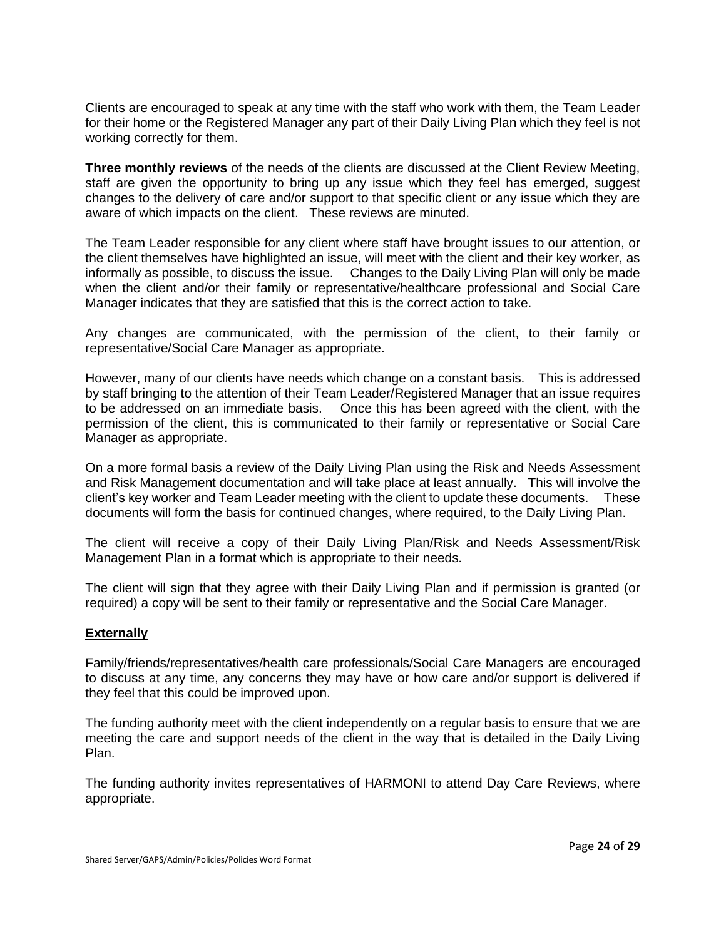Clients are encouraged to speak at any time with the staff who work with them, the Team Leader for their home or the Registered Manager any part of their Daily Living Plan which they feel is not working correctly for them.

**Three monthly reviews** of the needs of the clients are discussed at the Client Review Meeting, staff are given the opportunity to bring up any issue which they feel has emerged, suggest changes to the delivery of care and/or support to that specific client or any issue which they are aware of which impacts on the client. These reviews are minuted.

The Team Leader responsible for any client where staff have brought issues to our attention, or the client themselves have highlighted an issue, will meet with the client and their key worker, as informally as possible, to discuss the issue. Changes to the Daily Living Plan will only be made when the client and/or their family or representative/healthcare professional and Social Care Manager indicates that they are satisfied that this is the correct action to take.

Any changes are communicated, with the permission of the client, to their family or representative/Social Care Manager as appropriate.

However, many of our clients have needs which change on a constant basis. This is addressed by staff bringing to the attention of their Team Leader/Registered Manager that an issue requires to be addressed on an immediate basis. Once this has been agreed with the client, with the permission of the client, this is communicated to their family or representative or Social Care Manager as appropriate.

On a more formal basis a review of the Daily Living Plan using the Risk and Needs Assessment and Risk Management documentation and will take place at least annually.This will involve the client's key worker and Team Leader meeting with the client to update these documents. These documents will form the basis for continued changes, where required, to the Daily Living Plan.

The client will receive a copy of their Daily Living Plan/Risk and Needs Assessment/Risk Management Plan in a format which is appropriate to their needs.

The client will sign that they agree with their Daily Living Plan and if permission is granted (or required) a copy will be sent to their family or representative and the Social Care Manager.

#### **Externally**

Family/friends/representatives/health care professionals/Social Care Managers are encouraged to discuss at any time, any concerns they may have or how care and/or support is delivered if they feel that this could be improved upon.

The funding authority meet with the client independently on a regular basis to ensure that we are meeting the care and support needs of the client in the way that is detailed in the Daily Living Plan.

The funding authority invites representatives of HARMONI to attend Day Care Reviews, where appropriate.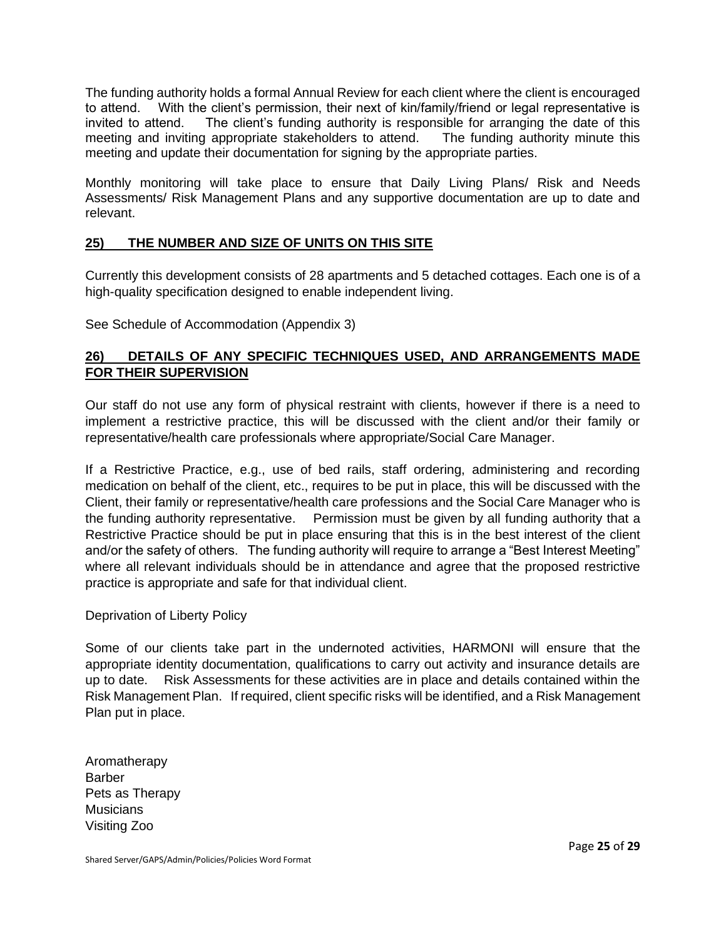The funding authority holds a formal Annual Review for each client where the client is encouraged to attend. With the client's permission, their next of kin/family/friend or legal representative is invited to attend. The client's funding authority is responsible for arranging the date of this meeting and inviting appropriate stakeholders to attend. The funding authority minute this meeting and update their documentation for signing by the appropriate parties.

Monthly monitoring will take place to ensure that Daily Living Plans/ Risk and Needs Assessments/ Risk Management Plans and any supportive documentation are up to date and relevant.

# **25) THE NUMBER AND SIZE OF UNITS ON THIS SITE**

Currently this development consists of 28 apartments and 5 detached cottages. Each one is of a high-quality specification designed to enable independent living.

See Schedule of Accommodation (Appendix 3)

# **26) DETAILS OF ANY SPECIFIC TECHNIQUES USED, AND ARRANGEMENTS MADE FOR THEIR SUPERVISION**

Our staff do not use any form of physical restraint with clients, however if there is a need to implement a restrictive practice, this will be discussed with the client and/or their family or representative/health care professionals where appropriate/Social Care Manager.

If a Restrictive Practice, e.g., use of bed rails, staff ordering, administering and recording medication on behalf of the client, etc., requires to be put in place, this will be discussed with the Client, their family or representative/health care professions and the Social Care Manager who is the funding authority representative. Permission must be given by all funding authority that a Restrictive Practice should be put in place ensuring that this is in the best interest of the client and/or the safety of others. The funding authority will require to arrange a "Best Interest Meeting" where all relevant individuals should be in attendance and agree that the proposed restrictive practice is appropriate and safe for that individual client.

# Deprivation of Liberty Policy

Some of our clients take part in the undernoted activities, HARMONI will ensure that the appropriate identity documentation, qualifications to carry out activity and insurance details are up to date. Risk Assessments for these activities are in place and details contained within the Risk Management Plan. If required, client specific risks will be identified, and a Risk Management Plan put in place.

Aromatherapy **Barber** Pets as Therapy **Musicians** Visiting Zoo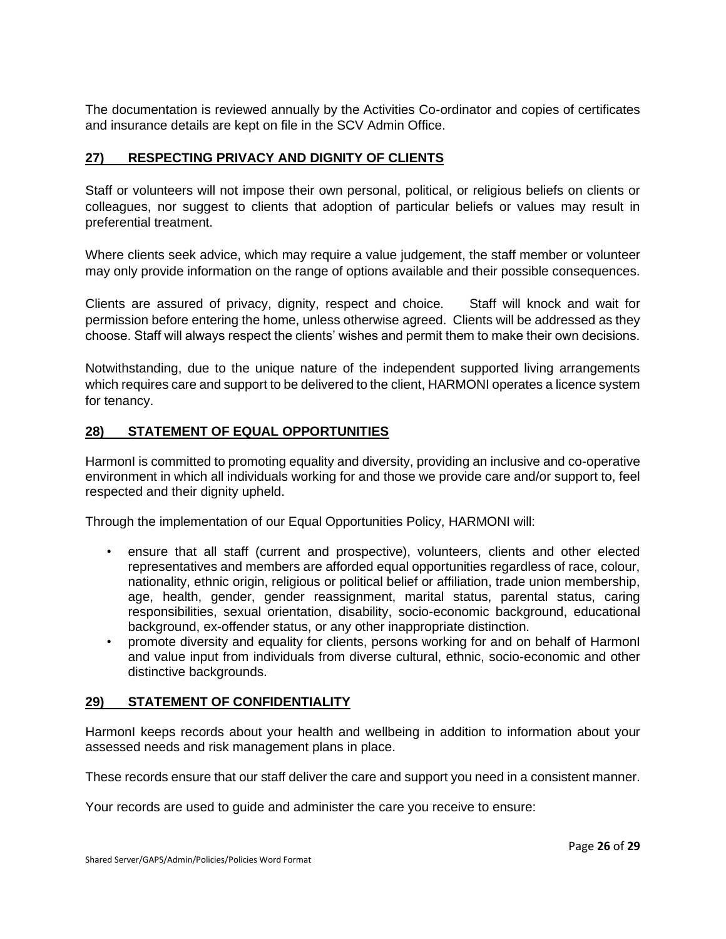The documentation is reviewed annually by the Activities Co-ordinator and copies of certificates and insurance details are kept on file in the SCV Admin Office.

# **27) RESPECTING PRIVACY AND DIGNITY OF CLIENTS**

Staff or volunteers will not impose their own personal, political, or religious beliefs on clients or colleagues, nor suggest to clients that adoption of particular beliefs or values may result in preferential treatment.

Where clients seek advice, which may require a value judgement, the staff member or volunteer may only provide information on the range of options available and their possible consequences.

Clients are assured of privacy, dignity, respect and choice. Staff will knock and wait for permission before entering the home, unless otherwise agreed. Clients will be addressed as they choose. Staff will always respect the clients' wishes and permit them to make their own decisions.

Notwithstanding, due to the unique nature of the independent supported living arrangements which requires care and support to be delivered to the client, HARMONI operates a licence system for tenancy.

#### **28) STATEMENT OF EQUAL OPPORTUNITIES**

HarmonI is committed to promoting equality and diversity, providing an inclusive and co-operative environment in which all individuals working for and those we provide care and/or support to, feel respected and their dignity upheld.

Through the implementation of our Equal Opportunities Policy, HARMONI will:

- ensure that all staff (current and prospective), volunteers, clients and other elected representatives and members are afforded equal opportunities regardless of race, colour, nationality, ethnic origin, religious or political belief or affiliation, trade union membership, age, health, gender, gender reassignment, marital status, parental status, caring responsibilities, sexual orientation, disability, socio-economic background, educational background, ex-offender status, or any other inappropriate distinction.
- promote diversity and equality for clients, persons working for and on behalf of HarmonI and value input from individuals from diverse cultural, ethnic, socio-economic and other distinctive backgrounds.

#### **29) STATEMENT OF CONFIDENTIALITY**

HarmonI keeps records about your health and wellbeing in addition to information about your assessed needs and risk management plans in place.

These records ensure that our staff deliver the care and support you need in a consistent manner.

Your records are used to guide and administer the care you receive to ensure: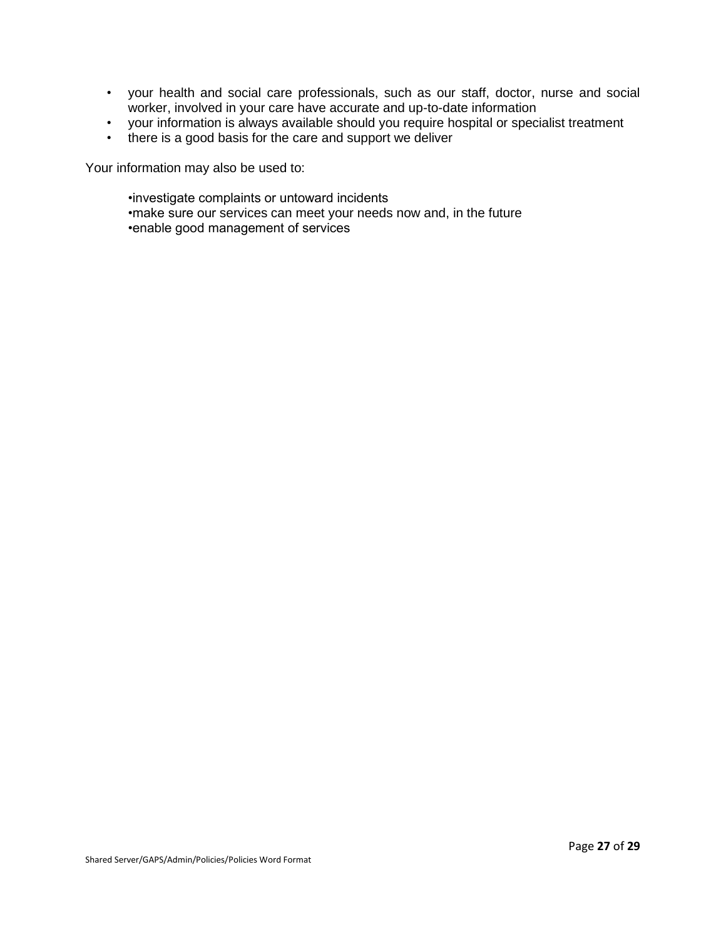- your health and social care professionals, such as our staff, doctor, nurse and social worker, involved in your care have accurate and up-to-date information
- your information is always available should you require hospital or specialist treatment
- there is a good basis for the care and support we deliver

Your information may also be used to:

•investigate complaints or untoward incidents •make sure our services can meet your needs now and, in the future •enable good management of services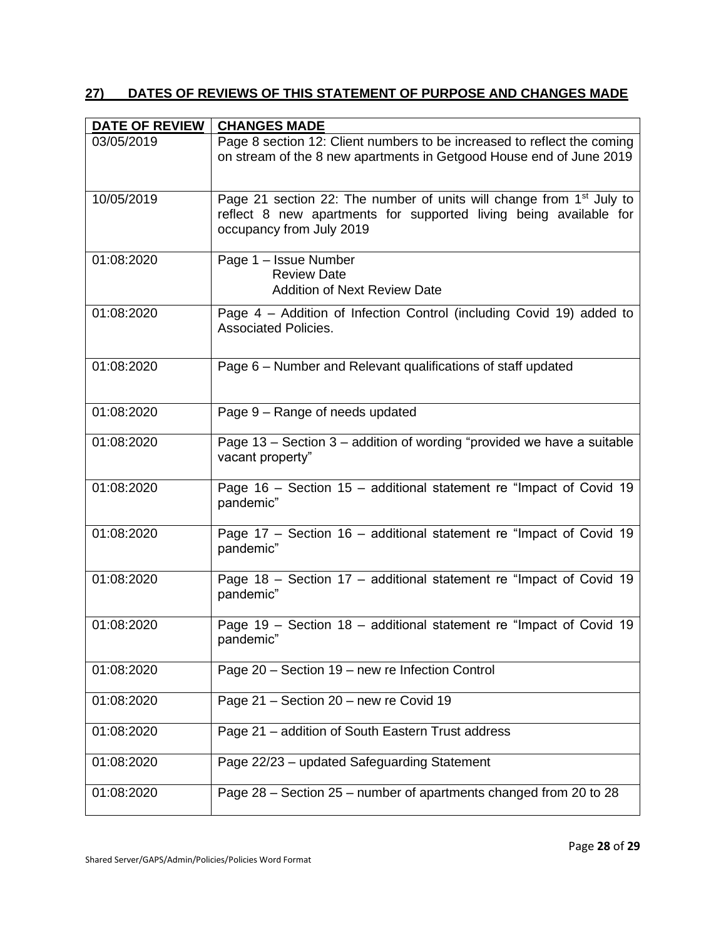# **27) DATES OF REVIEWS OF THIS STATEMENT OF PURPOSE AND CHANGES MADE**

| <b>DATE OF REVIEW</b> | <b>CHANGES MADE</b>                                                                                                                                                               |
|-----------------------|-----------------------------------------------------------------------------------------------------------------------------------------------------------------------------------|
| 03/05/2019            | Page 8 section 12: Client numbers to be increased to reflect the coming<br>on stream of the 8 new apartments in Getgood House end of June 2019                                    |
| 10/05/2019            | Page 21 section 22: The number of units will change from 1 <sup>st</sup> July to<br>reflect 8 new apartments for supported living being available for<br>occupancy from July 2019 |
| 01:08:2020            | Page 1 - Issue Number<br><b>Review Date</b><br><b>Addition of Next Review Date</b>                                                                                                |
| 01:08:2020            | Page 4 - Addition of Infection Control (including Covid 19) added to<br><b>Associated Policies.</b>                                                                               |
| 01:08:2020            | Page 6 – Number and Relevant qualifications of staff updated                                                                                                                      |
| 01:08:2020            | Page 9 - Range of needs updated                                                                                                                                                   |
| 01:08:2020            | Page 13 – Section $3$ – addition of wording "provided we have a suitable<br>vacant property"                                                                                      |
| 01:08:2020            | Page 16 - Section 15 - additional statement re "Impact of Covid 19<br>pandemic"                                                                                                   |
| 01:08:2020            | Page 17 - Section 16 - additional statement re "Impact of Covid 19<br>pandemic"                                                                                                   |
| 01:08:2020            | Page 18 - Section 17 - additional statement re "Impact of Covid 19<br>pandemic"                                                                                                   |
| 01:08:2020            | Page 19 - Section 18 - additional statement re "Impact of Covid 19<br>pandemic"                                                                                                   |
| 01:08:2020            | Page 20 - Section 19 - new re Infection Control                                                                                                                                   |
| 01:08:2020            | Page 21 - Section 20 - new re Covid 19                                                                                                                                            |
| 01:08:2020            | Page 21 - addition of South Eastern Trust address                                                                                                                                 |
| 01:08:2020            | Page 22/23 - updated Safeguarding Statement                                                                                                                                       |
| 01:08:2020            | Page 28 - Section 25 - number of apartments changed from 20 to 28                                                                                                                 |